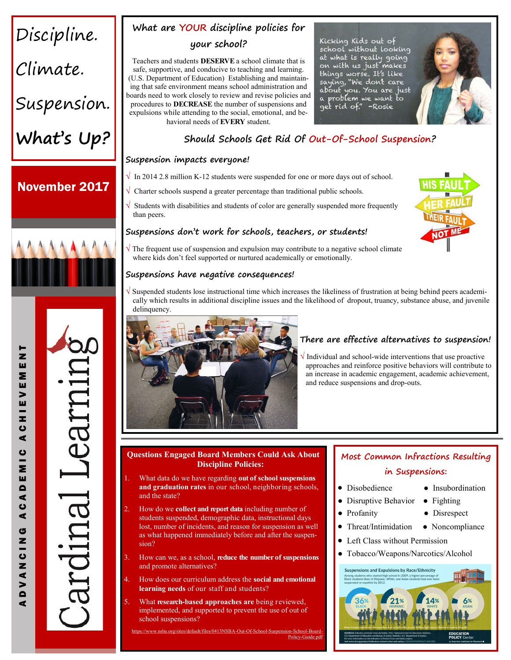

## **What are YOUR discipline policies for your school?**

Teachers and students **DESERVE** a school climate that is safe, supportive, and conducive to teaching and learning. (U.S. Department of Education) Establishing and maintaining that safe environment means school administration and boards need to work closely to review and revise policies and procedures to **DECREASE** the number of suspensions and expulsions while attending to the social, emotional, and behavioral needs of **EVERY** student.

Kicking Kids out of Kicking Kids out of<br>school without looking<br>at what is really going<br>on with us just makes<br>things worse. It's like<br>saying, "We don't care<br>a problem we want to<br>a problem we want to<br>problem we want to get rid of." -Rosie



## **Should Schools Get Rid Of Out-Of-School Suspension?**

#### **Suspension impacts everyone!**

**√** In 2014 2.8 million K-12 students were suspended for one or more days out of school.

- $\sqrt{\ }$  Charter schools suspend a greater percentage than traditional public schools.
- **√** Students with disabilities and students of color are generally suspended more frequently than peers.



#### **Suspensions don't work for schools, teachers, or students!**

**√** The frequent use of suspension and expulsion may contribute to a negative school climate where kids don't feel supported or nurtured academically or emotionally.

#### **Suspensions have negative consequences!**

**√** Suspended students lose instructional time which increases the likeliness of frustration at being behind peers academically which results in additional discipline issues and the likelihood of dropout, truancy, substance abuse, and juvenile delinquency.



#### **There are effective alternatives to suspension!**

Individual and school-wide interventions that use proactive approaches and reinforce positive behaviors will contribute to an increase in academic engagement, academic achievement, and reduce suspensions and drop-outs.

#### **Questions Engaged Board Members Could Ask About Discipline Policies:**

- 1. What data do we have regarding **out of school suspensions and graduation rates** in our school, neighboring schools, and the state?
- 2. How do we **collect and report data** including number of students suspended, demographic data, instructional days lost, number of incidents, and reason for suspension as well as what happened immediately before and after the suspension?
- 3. How can we, as a school, **reduce the number of suspensions**  and promote alternatives?
- 4. How does our curriculum address the **social and emotional learning needs** of our staff and students?
- 5. What **research-based approaches are** being reviewed, implemented, and supported to prevent the use of out of school suspensions?

/www.nsba.org/sites/default/files/0413NSBA-Out-Of-Scho Policy-[Guide.pdf](https://www.nsba.org/sites/default/files/0413NSBA-Out-Of-School-Suspension-School-Board-Policy-Guide.pdf)

## **Most Common Infractions Resulting in Suspensions:**

- Disobedience Insubordination
	- Disruptive Behavior  $\bullet$  Fighting
- Profanity Disrespect
	- Threat/Intimidation Noncompliance
- Left Class without Permission
- Tobacco/Weapons/Narcotics/Alcohol



A D V A N C I N G A C A D E M I C A C H I E V E M E N T z ш Σ ш  $\blacktriangleright$ ш œ ပ đ ပ Σ ш  $\blacksquare$ ⋖ ပ ๔ ය z  $\overline{\overline{\overline{c}}}$ z ⋖  $\blacktriangleright$ ā ď



Learnii

dinal

November 2017